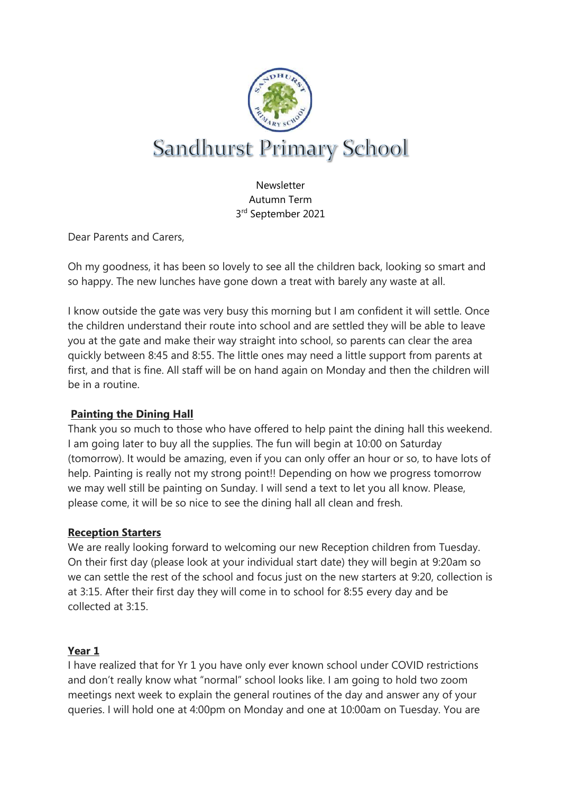

Newsletter Autumn Term 3rd September 2021

Dear Parents and Carers,

Oh my goodness, it has been so lovely to see all the children back, looking so smart and so happy. The new lunches have gone down a treat with barely any waste at all.

I know outside the gate was very busy this morning but I am confident it will settle. Once the children understand their route into school and are settled they will be able to leave you at the gate and make their way straight into school, so parents can clear the area quickly between 8:45 and 8:55. The little ones may need a little support from parents at first, and that is fine. All staff will be on hand again on Monday and then the children will be in a routine.

# **Painting the Dining Hall**

Thank you so much to those who have offered to help paint the dining hall this weekend. I am going later to buy all the supplies. The fun will begin at 10:00 on Saturday (tomorrow). It would be amazing, even if you can only offer an hour or so, to have lots of help. Painting is really not my strong point!! Depending on how we progress tomorrow we may well still be painting on Sunday. I will send a text to let you all know. Please, please come, it will be so nice to see the dining hall all clean and fresh.

### **Reception Starters**

We are really looking forward to welcoming our new Reception children from Tuesday. On their first day (please look at your individual start date) they will begin at 9:20am so we can settle the rest of the school and focus just on the new starters at 9:20, collection is at 3:15. After their first day they will come in to school for 8:55 every day and be collected at 3:15.

### **Year 1**

I have realized that for Yr 1 you have only ever known school under COVID restrictions and don't really know what "normal" school looks like. I am going to hold two zoom meetings next week to explain the general routines of the day and answer any of your queries. I will hold one at 4:00pm on Monday and one at 10:00am on Tuesday. You are